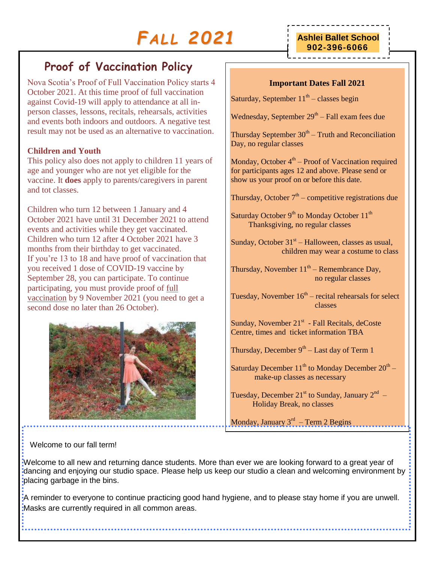# *FA L L 2021*

# **Proof of Vaccination Policy**

Nova Scotia's Proof of Full Vaccination Policy starts 4 October 2021. At this time proof of full vaccination against Covid-19 will apply to attendance at all inperson classes, lessons, recitals, rehearsals, activities and events both indoors and outdoors. A negative test result may not be used as an alternative to vaccination.

## **Children and Youth**

This policy also does not apply to children 11 years of age and younger who are not yet eligible for the vaccine. It **does** apply to parents/caregivers in parent and tot classes.

Children who turn 12 between 1 January and 4 October 2021 have until 31 December 2021 to attend events and activities while they get vaccinated. Children who turn 12 after 4 October 2021 have 3 months from their birthday to get vaccinated. If you're 13 to 18 and have proof of vaccination that you received 1 dose of COVID-19 vaccine by September 28, you can participate. To continue participating, you must provide proof of [full](https://novascotia.ca/coronavirus/vaccine/#fully-vaccinated)  [vaccination](https://novascotia.ca/coronavirus/vaccine/#fully-vaccinated) by 9 November 2021 (you need to get a second dose no later than 26 October).



# **Ashlei Ballet School 902-396-6066**

### **Important Dates Fall 2021**

Saturday, September  $11<sup>th</sup>$  – classes begin

Wednesday, September  $29<sup>th</sup> - Fall exam fees due$ 

Thursday September  $30<sup>th</sup>$  – Truth and Reconciliation Day, no regular classes

Monday, October  $4<sup>th</sup>$  – Proof of Vaccination required for participants ages 12 and above. Please send or show us your proof on or before this date.

Thursday, October  $7<sup>th</sup>$  – competitive registrations due

Saturday October  $9<sup>th</sup>$  to Monday October  $11<sup>th</sup>$ Thanksgiving, no regular classes

Sunday, October  $31<sup>st</sup> - Halloween$ , classes as usual, children may wear a costume to class

Thursday, November  $11<sup>th</sup>$  – Remembrance Day, no regular classes

Tuesday, November  $16<sup>th</sup>$  – recital rehearsals for select classes

Sunday, November  $21^{st}$  - Fall Recitals, deCoste Centre, times and ticket information TBA

Thursday, December  $9<sup>th</sup> - Last day$  of Term 1

Saturday December  $11^{th}$  to Monday December  $20^{th}$  – make-up classes as necessary

Tuesday, December 21<sup>st</sup> to Sunday, January  $2^{nd}$  – Holiday Break, no classes

Monday, January 3<sup>rd</sup> – Term 2 Begins

Welcome to our fall term!

Welcome to all new and returning dance students. More than ever we are looking forward to a great year of dancing and enjoying our studio space. Please help us keep our studio a clean and welcoming environment by placing garbage in the bins.

A reminder to everyone to continue practicing good hand hygiene, and to please stay home if you are unwell. Masks are currently required in all common areas.